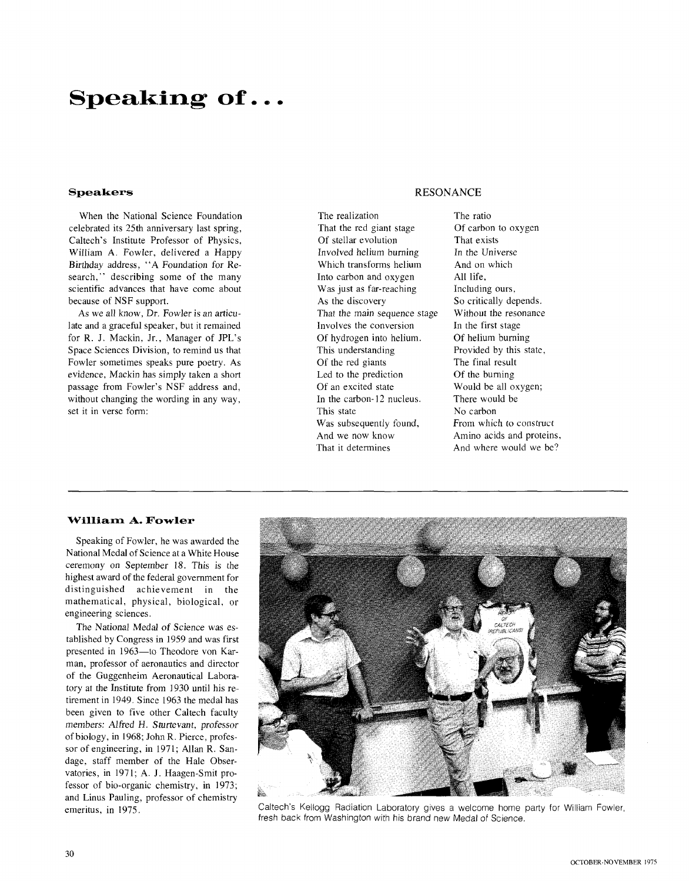# **Speaking of..** .

### **Speakers**

When the National Science Foundation celebrated its 25th anniversary last spring, Caltech's Institute Professor of Physics, William A. Fowler, delivered a Happy Birthday address, "A Foundation for Research," describing some of the many scientific advances that have come about because of NSF support.

As we all know, Dr. Fowler is an articulate and a graceful speaker, but it remained for R. J. Mackin, Jr., Manager of JPL's Space Sciences Division, to remind us that Fowler sometimes speaks pure poetry. As evidence, Mackin has simply taken a short passage from Fowler's NSF address and, without changing the wording in any way, set it in verse form:

## RESONANCE

The realization That the red giant stage Of stellar evolution Involved helium burning Which transforms helium Into carbon and oxygen Was just as far-reaching As the discovery That the main sequence stage Involves the conversion Of hydrogen into helium. This understanding Of the red giants Led to the prediction Of an excited state In the carbon- 12 nucleus. This state Was subsequently found, And we now know That it determines

The ratio Of carbon to oxygen That exists In the Universe And on which All life, Including ours, So critically depends. Without the resonance In the first stage Of helium burning Provided by this state, The final result Of the burning Would be all oxygen; There would be No carbon From which to construct Amino acids and proteins, And where would we be?

### **William A. Fowler**

Speaking of Fowler, he was awarded the National Medal of Science at a White House ceremony on September 18. This is the highest award of the federal government for distinguished achievement in the mathematical, physical, biological, or engineering sciences.

The National Medal of Science was established by Congress in 1959 and was first presented in 1963-to Theodore von Karman, professor of aeronautics and director of the Guggenheim Aeronautical Laboratory at the Institute from I930 until his retirement in 1949. Since 1963 the medal has been given to five other Caltech faculty members: Alfred H. Sturtevant, professor of biology, in 1968; John R. Pierce, professor of engineering, in 1971; Allan R. Sandage, staff member of the Hale Observatories, in 1971; A. J. Haagen-Smit professor of bio-organic chemistry, in 1973; and Linus Pauling, professor of chemistry emeritus, in 1975.



Caltech's Kellogg Radiation Laboratory gives a welcome home party for William Fowler, fresh back from Washington with his brand new Medal of Science.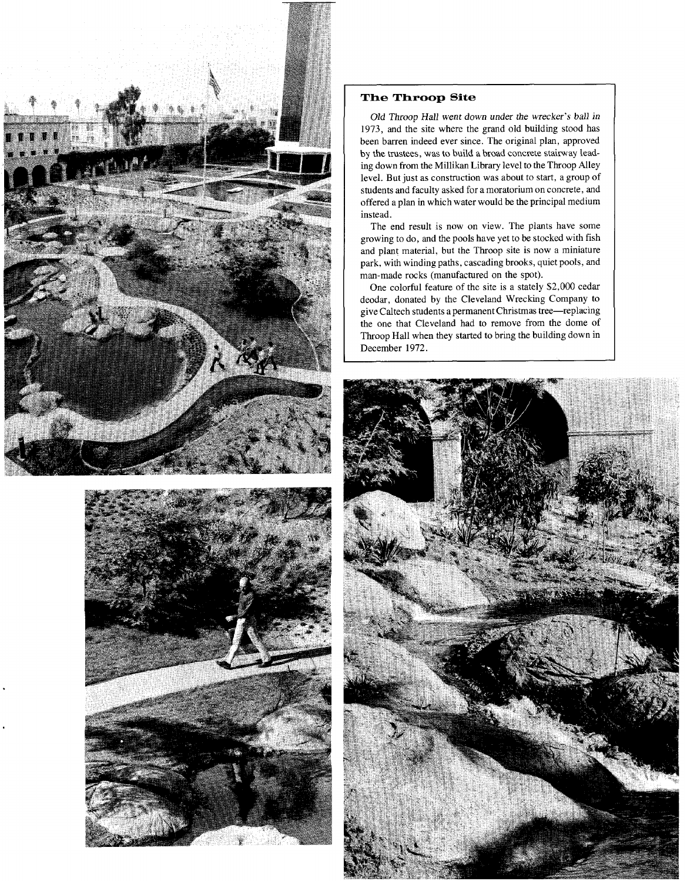



## **The Throop Site**

Old Throop Hall went down under the wrecker's ball in 1973, and the site where the grand old building stood has been barren indeed ever since. The original plan, approved by the trustees, was to build a broad concrete stairway leading down from the Millikan Library level to the Throop Alley level. But just as construction was about to start, a group of students and faculty asked for a moratorium on concrete, and offered a plan in which water would be the principal medium instead.

The end result is now on view. The plants have some growing to do, and the pools have yet to be stocked with fish and plant material, but the Throop site is now a miniature park, with winding paths, cascading brooks, quiet pools, and man-made rocks (manufactured on the spot).

One colorful feature of the site is a stately \$2,000 cedar deodar, donated by the Cleveland Wrecking Company to give Caltech students a permanent Christmas tree-replacing the one that Cleveland had to remove from the dome of Throop Hall when they started to bring the building down in December 1972.